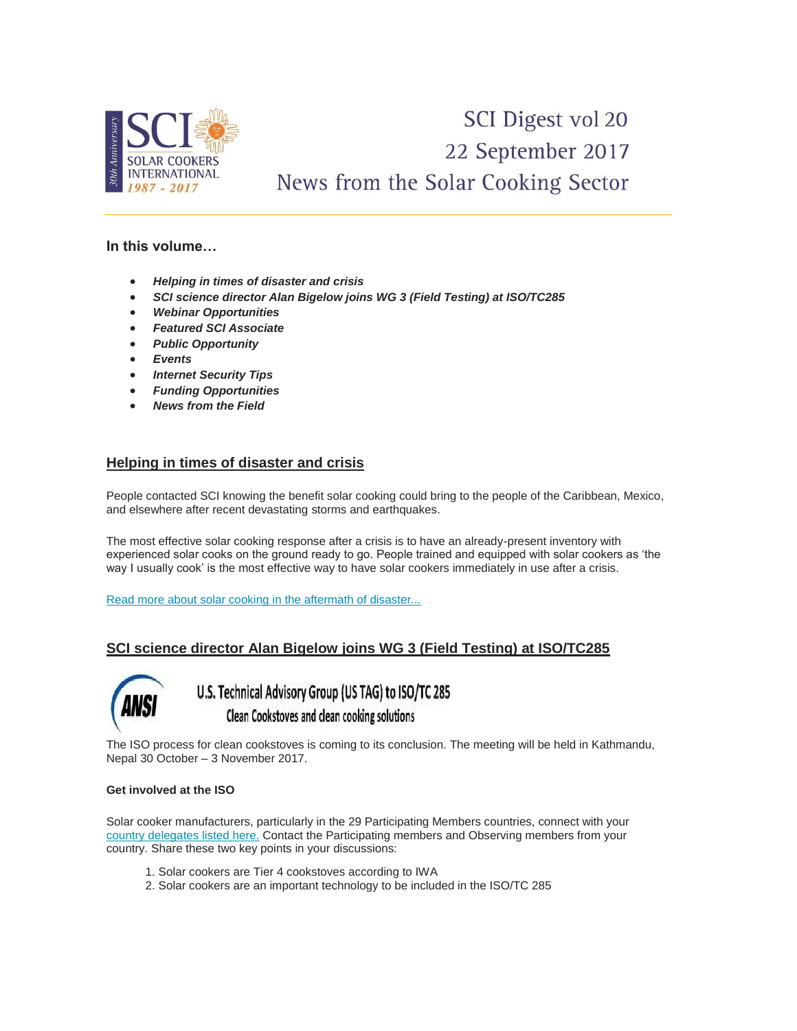

# SCI Digest vol 20 22 September 2017 News from the Solar Cooking Sector

## **In this volume…**

- *Helping in times of disaster and crisis*
- *SCI science director Alan Bigelow joins WG 3 (Field Testing) at ISO/TC285*
- *Webinar Opportunities*
- *Featured SCI Associate*
- *Public Opportunity*
- *Events*
- *Internet Security Tips*
- *Funding Opportunities*
- *News from the Field*

# **Helping in times of disaster and crisis**

People contacted SCI knowing the benefit solar cooking could bring to the people of the Caribbean, Mexico, and elsewhere after recent devastating storms and earthquakes.

The most effective solar cooking response after a crisis is to have an already-present inventory with experienced solar cooks on the ground ready to go. People trained and equipped with solar cookers as 'the way I usually cook' is the most effective way to have solar cookers immediately in use after a crisis.

[Read more about solar cooking in the aftermath of disaster...](http://www.solarcookers.org/our-work/disaster-preparedness/)

# **SCI science director Alan Bigelow joins WG 3 (Field Testing) at ISO/TC285**



U.S. Technical Advisory Group (US TAG) to ISO/TC 285 Clean Cookstoves and clean cooking solutions

The ISO process for clean cookstoves is coming to its conclusion. The meeting will be held in Kathmandu, Nepal 30 October – 3 November 2017.

#### **Get involved at the ISO**

Solar cooker manufacturers, particularly in the 29 Participating Members countries, connect with your [country delegates listed here.](https://www.iso.org/committee/4857971.html?view=participation) Contact the Participating members and Observing members from your country. Share these two key points in your discussions:

- 1. Solar cookers are Tier 4 cookstoves according to IWA
- 2. Solar cookers are an important technology to be included in the ISO/TC 285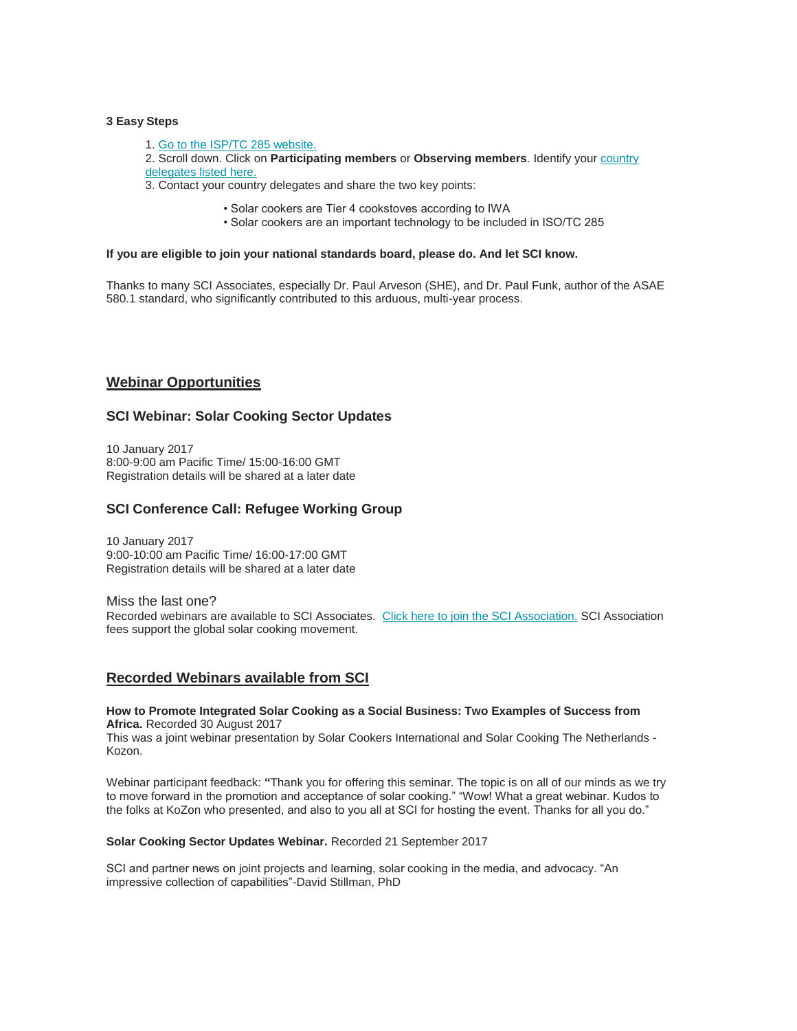#### **3 Easy Steps**

- 1. [Go to the ISP/TC 285 website.](https://www.iso.org/committee/4857971.html?view=participation)
- 2. Scroll down. Click on **Participating members** or **Observing members**. Identify you[r country](https://www.iso.org/committee/4857971.html?view=participation)  [delegates listed here.](https://www.iso.org/committee/4857971.html?view=participation)
- 3. Contact your country delegates and share the two key points:
	- Solar cookers are Tier 4 cookstoves according to IWA
	- Solar cookers are an important technology to be included in ISO/TC 285

#### **If you are eligible to join your national standards board, please do. And let SCI know.**

Thanks to many SCI Associates, especially Dr. Paul Arveson (SHE), and Dr. Paul Funk, author of the ASAE 580.1 standard, who significantly contributed to this arduous, multi-year process.

## **Webinar Opportunities**

#### **SCI Webinar: Solar Cooking Sector Updates**

10 January 2017 8:00-9:00 am Pacific Time/ 15:00-16:00 GMT Registration details will be shared at a later date

## **SCI Conference Call: Refugee Working Group**

10 January 2017 9:00-10:00 am Pacific Time/ 16:00-17:00 GMT Registration details will be shared at a later date

Miss the last one? Recorded webinars are available to SCI Associates. [Click here to join the SCI Association.](http://www.solarcookers.org/our-work/association-and-network/association-benefits/join-association/) SCI Association fees support the global solar cooking movement.

#### **Recorded Webinars available from SCI**

#### **How to Promote Integrated Solar Cooking as a Social Business: Two Examples of Success from Africa.** Recorded 30 August 2017

This was a joint webinar presentation by Solar Cookers International and Solar Cooking The Netherlands - Kozon.

Webinar participant feedback: **"**Thank you for offering this seminar. The topic is on all of our minds as we try to move forward in the promotion and acceptance of solar cooking." "Wow! What a great webinar. Kudos to the folks at KoZon who presented, and also to you all at SCI for hosting the event. Thanks for all you do."

#### **Solar Cooking Sector Updates Webinar.** Recorded 21 September 2017

SCI and partner news on joint projects and learning, solar cooking in the media, and advocacy. "An impressive collection of capabilities"-David Stillman, PhD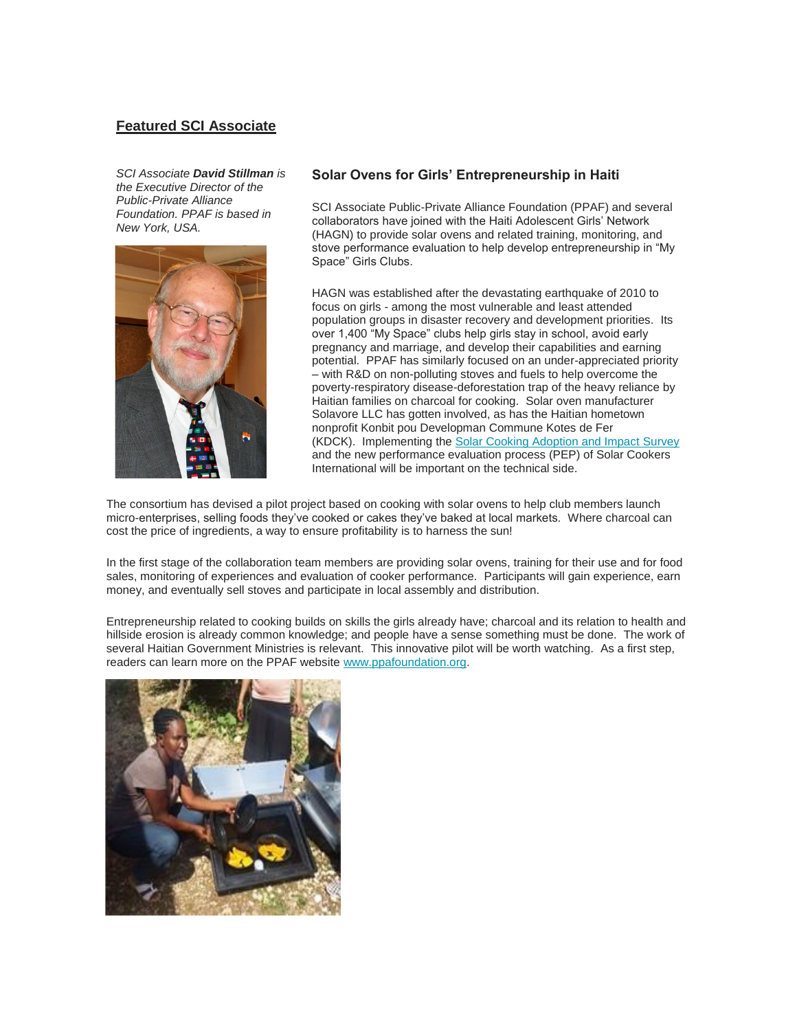# **Featured SCI Associate**

*SCI Associate David Stillman is the Executive Director of the Public-Private Alliance Foundation. PPAF is based in New York, USA.*



#### **Solar Ovens for Girls' Entrepreneurship in Haiti**

SCI Associate Public-Private Alliance Foundation (PPAF) and several collaborators have joined with the Haiti Adolescent Girls' Network (HAGN) to provide solar ovens and related training, monitoring, and stove performance evaluation to help develop entrepreneurship in "My Space" Girls Clubs.

HAGN was established after the devastating earthquake of 2010 to focus on girls - among the most vulnerable and least attended population groups in disaster recovery and development priorities. Its over 1,400 "My Space" clubs help girls stay in school, avoid early pregnancy and marriage, and develop their capabilities and earning potential. PPAF has similarly focused on an under-appreciated priority – with R&D on non-polluting stoves and fuels to help overcome the poverty-respiratory disease-deforestation trap of the heavy reliance by Haitian families on charcoal for cooking. Solar oven manufacturer Solavore LLC has gotten involved, as has the Haitian hometown nonprofit Konbit pou Developman Commune Kotes de Fer (KDCK). Implementing the [Solar Cooking Adoption and Impact Survey](http://www.solarcookers.org/our-work/association-and-network/adoption-and-impact-survey/)  and the new performance evaluation process (PEP) of Solar Cookers International will be important on the technical side.

The consortium has devised a pilot project based on cooking with solar ovens to help club members launch micro-enterprises, selling foods they've cooked or cakes they've baked at local markets. Where charcoal can cost the price of ingredients, a way to ensure profitability is to harness the sun!

In the first stage of the collaboration team members are providing solar ovens, training for their use and for food sales, monitoring of experiences and evaluation of cooker performance. Participants will gain experience, earn money, and eventually sell stoves and participate in local assembly and distribution.

Entrepreneurship related to cooking builds on skills the girls already have; charcoal and its relation to health and hillside erosion is already common knowledge; and people have a sense something must be done. The work of several Haitian Government Ministries is relevant. This innovative pilot will be worth watching. As a first step, readers can learn more on the PPAF website [www.ppafoundation.org.](http://www.ppafoundation.org/)

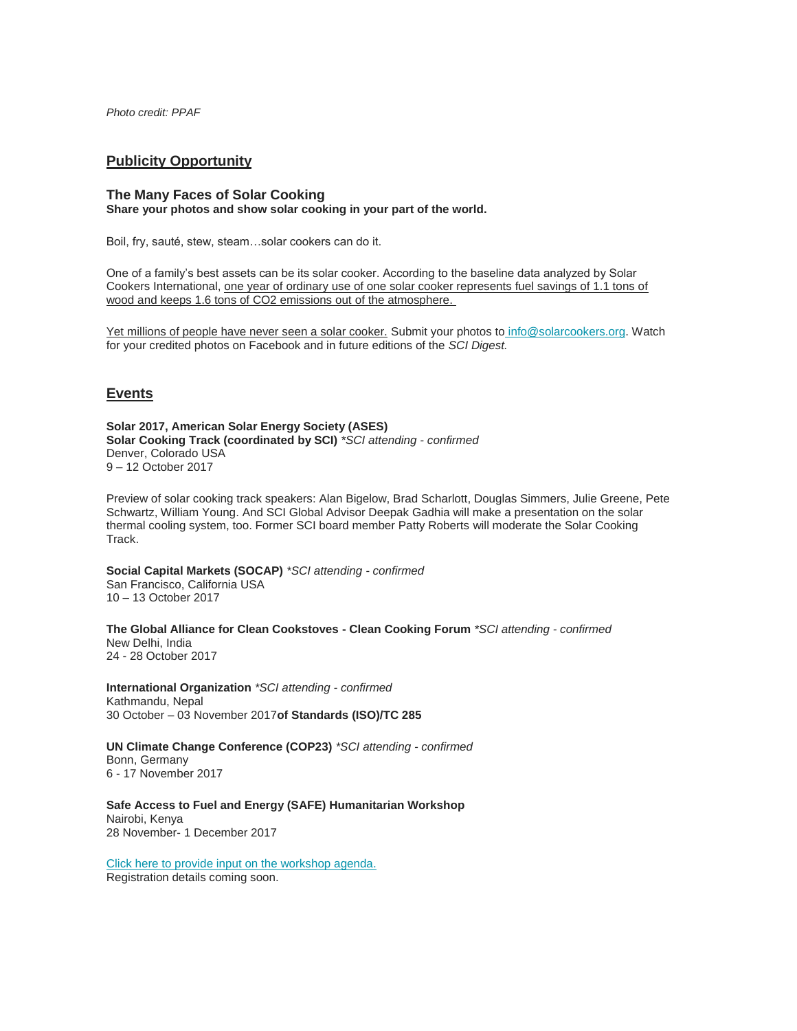*Photo credit: PPAF*

## **Publicity Opportunity**

#### **The Many Faces of Solar Cooking Share your photos and show solar cooking in your part of the world.**

Boil, fry, sauté, stew, steam…solar cookers can do it.

One of a family's best assets can be its solar cooker. According to the baseline data analyzed by Solar Cookers International, one year of ordinary use of one solar cooker represents fuel savings of 1.1 tons of wood and keeps 1.6 tons of CO2 emissions out of the atmosphere.

Yet millions of people have never seen a solar cooker. Submit your photos to [info@solarcookers.org.](mailto:info@solarcookers.org?subject=Photo:%20Many%20Faces%20of%20Solar%20Cooking) Watch for your credited photos on Facebook and in future editions of the *SCI Digest.*

## **Events**

**Solar 2017, American Solar Energy Society (ASES) Solar Cooking Track (coordinated by SCI)** *\*SCI attending - confirmed* Denver, Colorado USA 9 – 12 October 2017

Preview of solar cooking track speakers: Alan Bigelow, Brad Scharlott, Douglas Simmers, Julie Greene, Pete Schwartz, William Young. And SCI Global Advisor Deepak Gadhia will make a presentation on the solar thermal cooling system, too. Former SCI board member Patty Roberts will moderate the Solar Cooking Track.

**Social Capital Markets (SOCAP)** *\*SCI attending - confirmed* San Francisco, California USA 10 – 13 October 2017

**The Global Alliance for Clean Cookstoves - Clean Cooking Forum** *\*SCI attending - confirmed* New Delhi, India 24 - 28 October 2017

**International Organization** *\*SCI attending - confirmed* Kathmandu, Nepal 30 October – 03 November 2017**of Standards (ISO)/TC 285** 

**UN Climate Change Conference (COP23)** *\*SCI attending - confirmed* Bonn, Germany 6 - 17 November 2017

**Safe Access to Fuel and Energy (SAFE) Humanitarian Workshop**  Nairobi, Kenya 28 November- 1 December 2017

[Click here to provide input on the workshop agenda.](https://docs.google.com/forms/d/e/1FAIpQLSd2qy6EVupDbFO_bQc5w-VfPeCezfpzTC5oh-twn3f--RPJSw/viewform)  Registration details coming soon.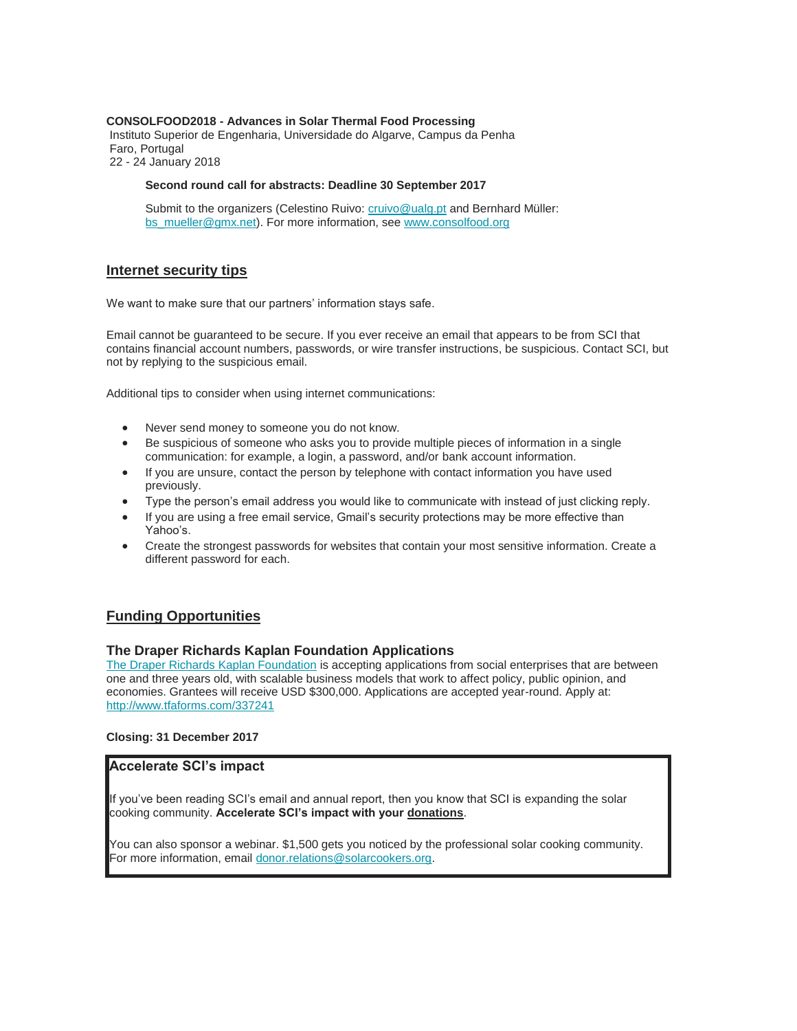#### **CONSOLFOOD2018 - Advances in Solar Thermal Food Processing**

Instituto Superior de Engenharia, Universidade do Algarve, Campus da Penha Faro, Portugal 22 - 24 January 2018

#### **Second round call for abstracts: Deadline 30 September 2017**

Submit to the organizers (Celestino Ruivo: [cruivo@ualg.pt](mailto:cruivo@ualg.pt) and Bernhard Müller: [bs\\_mueller@gmx.net\)](mailto:bs_mueller@gmx.net). For more information, see [www.consolfood.org](http://www.consolfood.org/)

#### **Internet security tips**

We want to make sure that our partners' information stays safe.

Email cannot be guaranteed to be secure. If you ever receive an email that appears to be from SCI that contains financial account numbers, passwords, or wire transfer instructions, be suspicious. Contact SCI, but not by replying to the suspicious email.

Additional tips to consider when using internet communications:

- Never send money to someone you do not know.
- Be suspicious of someone who asks you to provide multiple pieces of information in a single communication: for example, a login, a password, and/or bank account information.
- If you are unsure, contact the person by telephone with contact information you have used previously.
- Type the person's email address you would like to communicate with instead of just clicking reply.
- If you are using a free email service, Gmail's security protections may be more effective than Yahoo's.
- Create the strongest passwords for websites that contain your most sensitive information. Create a different password for each.

## **Funding Opportunities**

#### **The Draper Richards Kaplan Foundation Applications**

[The Draper Richards Kaplan Foundation](https://default.salsalabs.org/T569db3df-6ee9-4a99-a147-85ca8694cfc8/c0410edf-c2da-4379-8c6a-9f5b876a661a) is accepting applications from social enterprises that are between one and three years old, with scalable business models that work to affect policy, public opinion, and economies. Grantees will receive USD \$300,000. Applications are accepted year-round. Apply at: <http://www.tfaforms.com/337241>

#### **Closing: 31 December 2017**

#### **Accelerate SCI's impact**

If you've been reading SCI's email and annual report, then you know that SCI is expanding the solar cooking community. **Accelerate SCI's impact with your donations**.

You can also sponsor a webinar. \$1,500 gets you noticed by the professional solar cooking community. For more information, emai[l donor.relations@solarcookers.org.](mailto:donor.relations@solarcookers.org)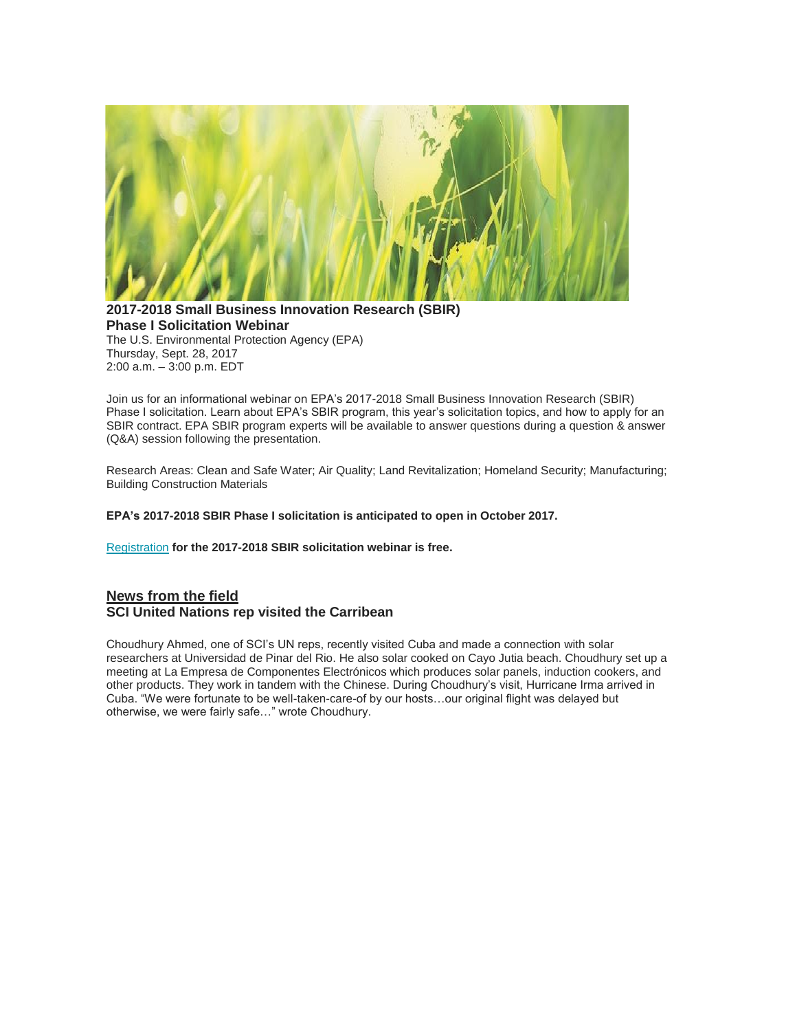

**2017-2018 Small Business Innovation Research (SBIR) Phase I Solicitation Webinar**  The U.S. Environmental Protection Agency (EPA) Thursday, Sept. 28, 2017 2:00 a.m. – 3:00 p.m. EDT

Join us for an informational webinar on EPA's 2017-2018 Small Business Innovation Research (SBIR) Phase I solicitation. Learn about EPA's SBIR program, this year's solicitation topics, and how to apply for an SBIR contract. EPA SBIR program experts will be available to answer questions during a question & answer (Q&A) session following the presentation.

Research Areas: Clean and Safe Water; Air Quality; Land Revitalization; Homeland Security; Manufacturing; Building Construction Materials

**EPA's 2017-2018 SBIR Phase I solicitation is anticipated to open in October 2017.**

[Registration](https://www.eventbrite.com/e/us-epa-2017-2018-small-business-innovation-research-sbir-solicitation-webinar-registration-37395571160) **for the 2017-2018 SBIR solicitation webinar is free.** 

## **News from the field SCI United Nations rep visited the Carribean**

Choudhury Ahmed, one of SCI's UN reps, recently visited Cuba and made a connection with solar researchers at Universidad de Pinar del Rio. He also solar cooked on Cayo Jutia beach. Choudhury set up a meeting at La Empresa de Componentes Electrónicos which produces solar panels, induction cookers, and other products. They work in tandem with the Chinese. During Choudhury's visit, Hurricane Irma arrived in Cuba. "We were fortunate to be well-taken-care-of by our hosts…our original flight was delayed but otherwise, we were fairly safe…" wrote Choudhury.